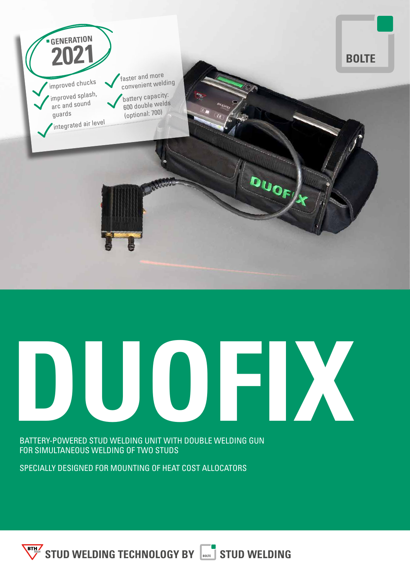

**DUOFIX**

BATTERY-POWERED STUD WELDING UNIT WITH DOUBLE WELDING GUN FOR SIMULTANEOUS WELDING OF TWO STUDS

SPECIALLY DESIGNED FOR MOUNTING OF HEAT COST ALLOCATORS

**STUD WELDING TECHNOLOGY BY STUD WELDING**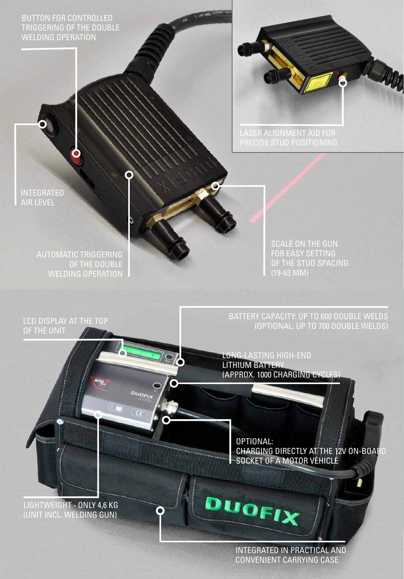BUTTON FOR CONTROLLED TRIGGERING OF THE DOUBLE WELDING OPERATION



LASER ALIGNMENT AID FOR

INTEGRATED AIR LEVEL

> AUTOMATIC TRIGGERING OF THE DOUBLE WELDING OPERATION

LCD DISPLAY AT THE TOP

OF THE UNIT

SCALE ON THE GUN FOR EASY SETTING OF THE STUD SPACING (19-63 MM)

BATTERY CAPACITY: UP TO 600 DOUBLE WELDS (OPTIONAL: UP TO 700 DOUBLE WELDS)

LONG-LASTING HIGH-END LITHIUM BATTERY (APPROX. 1000 CHARGING CYCLES)

**96** 

**DUOFI** 

O

OPTIONAL: CHARGING DIRECTLY AT THE 12V ON-BOARD SOCKET OF A MOTOR VEHICLE

LIGHTWEIGHT - ONLY 4,6 KG (UNIT INCL. WELDING GUN)

> INTEGRATED IN PRACTICAL AND CONVENIENT CARRYING CASE

DUOFIX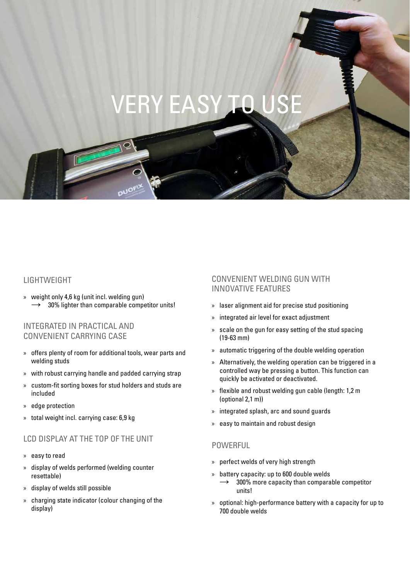### **VERY EASY TO U**

#### LIGHTWEIGHT

» weight only 4,6 kg (unit incl. welding gun) 30% lighter than comparable competitor units!

#### INTEGRATED IN PRACTICAL AND CONVENIENT CARRYING CASE

- » offers plenty of room for additional tools, wear parts and welding studs
- » with robust carrying handle and padded carrying strap
- » custom-fit sorting boxes for stud holders and studs are included
- » edge protection
- » total weight incl. carrying case: 6,9 kg

#### LCD DISPLAY AT THE TOP OF THE UNIT

- » easy to read
- » display of welds performed (welding counter resettable)
- » display of welds still possible
- » charging state indicator (colour changing of the display)

#### CONVENIENT WELDING GUN WITH INNOVATIVE FEATURES

- » laser alignment aid for precise stud positioning
- » integrated air level for exact adjustment
- » scale on the gun for easy setting of the stud spacing (19-63 mm)
- » automatic triggering of the double welding operation
- » Alternatively, the welding operation can be triggered in a controlled way be pressing a button. This function can quickly be activated or deactivated.
- » flexible and robust welding gun cable (length: 1,2 m (optional 2,1 m))
- » integrated splash, arc and sound guards
- » easy to maintain and robust design

#### POWERFUL

- » perfect welds of very high strength
- » battery capacity: up to 600 double welds
- 300% more capacity than comparable competitor units!
- » optional: high-performance battery with a capacity for up to 700 double welds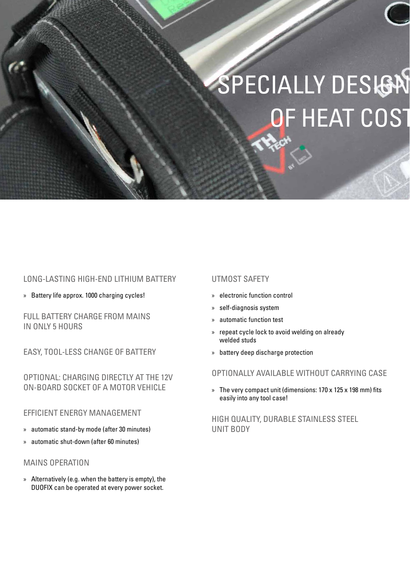

## SPECIALLY DESIGN OF HEAT COST

#### LONG-LASTING HIGH-END LITHIUM BATTERY

» Battery life approx. 1000 charging cycles!

FULL BATTERY CHARGE FROM MAINS IN ONLY 5 HOURS

EASY, TOOL-LESS CHANGE OF BATTERY

OPTIONAL: CHARGING DIRECTLY AT THE 12V ON-BOARD SOCKET OF A MOTOR VEHICLE

#### EFFICIENT ENERGY MANAGEMENT

- » automatic stand-by mode (after 30 minutes)
- » automatic shut-down (after 60 minutes)

#### MAINS OPERATION

» Alternatively (e.g. when the battery is empty), the DUOFIX can be operated at every power socket.

#### UTMOST SAFETY

- » electronic function control
- » self-diagnosis system
- » automatic function test
- » repeat cycle lock to avoid welding on already welded studs
- » battery deep discharge protection

#### OPTIONALLY AVAILABLE WITHOUT CARRYING CASE

» The very compact unit (dimensions: 170 x 125 x 198 mm) fits easily into any tool case!

HIGH QUALITY, DURABLE STAINLESS STEEL UNIT BODY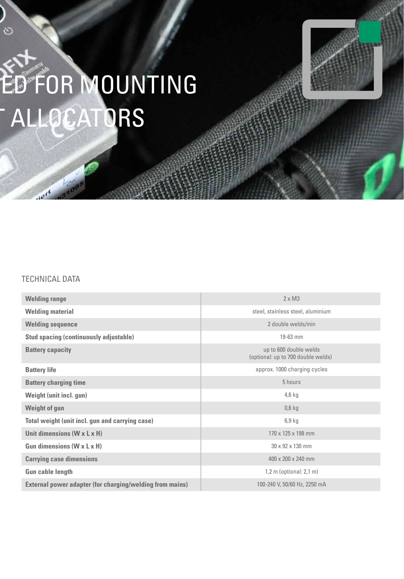# ED FOR MOUNTING **ALLOCATORS**

#### TECHNICAL DATA

 $e^{rt}$ 

 $\sim$ 

| <b>Welding range</b>                                            | $2 \times M3$                                                |
|-----------------------------------------------------------------|--------------------------------------------------------------|
| <b>Welding material</b>                                         | steel, stainless steel, aluminium                            |
| <b>Welding sequence</b>                                         | 2 double welds/min                                           |
| <b>Stud spacing (continuously adjustable)</b>                   | 19-63 mm                                                     |
| <b>Battery capacity</b>                                         | up to 600 double welds<br>(optional: up to 700 double welds) |
| <b>Battery life</b>                                             | approx. 1000 charging cycles                                 |
| <b>Battery charging time</b>                                    | 5 hours                                                      |
| <b>Weight (unit incl. gun)</b>                                  | $4,6$ kg                                                     |
| <b>Weight of gun</b>                                            | $0,6$ kg                                                     |
| Total weight (unit incl. gun and carrying case)                 | $6,9$ kg                                                     |
| Unit dimensions $(W \times L \times H)$                         | 170 x 125 x 198 mm                                           |
| Gun dimensions $(W \times L \times H)$                          | $30 \times 92 \times 130$ mm                                 |
| <b>Carrying case dimensions</b>                                 | 400 x 200 x 240 mm                                           |
| <b>Gun cable length</b>                                         | $1,2$ m (optional: $2,1$ m)                                  |
| <b>External power adapter (for charging/welding from mains)</b> | 100-240 V, 50/60 Hz, 2250 mA                                 |

**BOLTE**